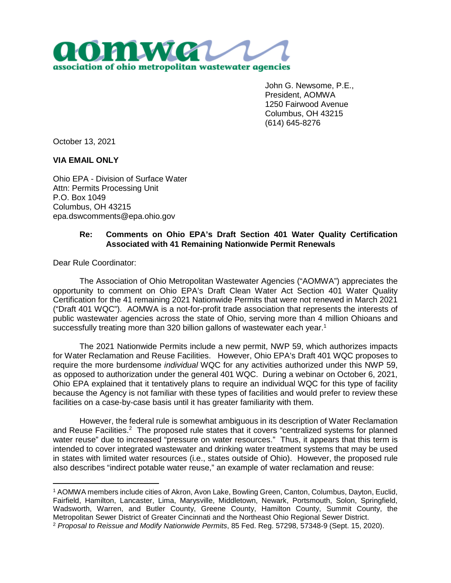

John G. Newsome, P.E., President, AOMWA 1250 Fairwood Avenue Columbus, OH 43215 (614) 645-8276

October 13, 2021

## **VIA EMAIL ONLY**

Ohio EPA - Division of Surface Water Attn: Permits Processing Unit P.O. Box 1049 Columbus, OH 43215 epa.dswcomments@epa.ohio.gov

## **Re: Comments on Ohio EPA's Draft Section 401 Water Quality Certification Associated with 41 Remaining Nationwide Permit Renewals**

Dear Rule Coordinator:

The Association of Ohio Metropolitan Wastewater Agencies ("AOMWA") appreciates the opportunity to comment on Ohio EPA's Draft Clean Water Act Section 401 Water Quality Certification for the 41 remaining 2021 Nationwide Permits that were not renewed in March 2021 ("Draft 401 WQC"). AOMWA is a not-for-profit trade association that represents the interests of public wastewater agencies across the state of Ohio, serving more than 4 million Ohioans and successfully treating more than 320 billion gallons of wastewater each year.<sup>1</sup>

The 2021 Nationwide Permits include a new permit, NWP 59, which authorizes impacts for Water Reclamation and Reuse Facilities. However, Ohio EPA's Draft 401 WQC proposes to require the more burdensome *individual* WQC for any activities authorized under this NWP 59, as opposed to authorization under the general 401 WQC. During a webinar on October 6, 2021, Ohio EPA explained that it tentatively plans to require an individual WQC for this type of facility because the Agency is not familiar with these types of facilities and would prefer to review these facilities on a case-by-case basis until it has greater familiarity with them.

However, the federal rule is somewhat ambiguous in its description of Water Reclamation and Reuse Facilities.<sup>2</sup> The proposed rule states that it covers "centralized systems for planned water reuse" due to increased "pressure on water resources." Thus, it appears that this term is intended to cover integrated wastewater and drinking water treatment systems that may be used in states with limited water resources (i.e., states outside of Ohio). However, the proposed rule also describes "indirect potable water reuse," an example of water reclamation and reuse:

<sup>1</sup> AOMWA members include cities of Akron, Avon Lake, Bowling Green, Canton, Columbus, Dayton, Euclid, Fairfield, Hamilton, Lancaster, Lima, Marysville, Middletown, Newark, Portsmouth, Solon, Springfield, Wadsworth, Warren, and Butler County, Greene County, Hamilton County, Summit County, the Metropolitan Sewer District of Greater Cincinnati and the Northeast Ohio Regional Sewer District.

<sup>2</sup> *Proposal to Reissue and Modify Nationwide Permits*, 85 Fed. Reg. 57298, 57348-9 (Sept. 15, 2020).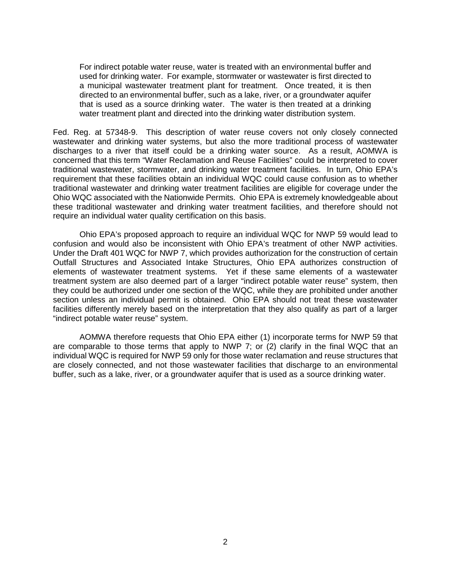For indirect potable water reuse, water is treated with an environmental buffer and used for drinking water. For example, stormwater or wastewater is first directed to a municipal wastewater treatment plant for treatment. Once treated, it is then directed to an environmental buffer, such as a lake, river, or a groundwater aquifer that is used as a source drinking water. The water is then treated at a drinking water treatment plant and directed into the drinking water distribution system.

Fed. Reg. at 57348-9. This description of water reuse covers not only closely connected wastewater and drinking water systems, but also the more traditional process of wastewater discharges to a river that itself could be a drinking water source. As a result, AOMWA is concerned that this term "Water Reclamation and Reuse Facilities" could be interpreted to cover traditional wastewater, stormwater, and drinking water treatment facilities. In turn, Ohio EPA's requirement that these facilities obtain an individual WQC could cause confusion as to whether traditional wastewater and drinking water treatment facilities are eligible for coverage under the Ohio WQC associated with the Nationwide Permits. Ohio EPA is extremely knowledgeable about these traditional wastewater and drinking water treatment facilities, and therefore should not require an individual water quality certification on this basis.

Ohio EPA's proposed approach to require an individual WQC for NWP 59 would lead to confusion and would also be inconsistent with Ohio EPA's treatment of other NWP activities. Under the Draft 401 WQC for NWP 7, which provides authorization for the construction of certain Outfall Structures and Associated Intake Structures, Ohio EPA authorizes construction of elements of wastewater treatment systems. Yet if these same elements of a wastewater treatment system are also deemed part of a larger "indirect potable water reuse" system, then they could be authorized under one section of the WQC, while they are prohibited under another section unless an individual permit is obtained. Ohio EPA should not treat these wastewater facilities differently merely based on the interpretation that they also qualify as part of a larger "indirect potable water reuse" system.

AOMWA therefore requests that Ohio EPA either (1) incorporate terms for NWP 59 that are comparable to those terms that apply to NWP 7; or (2) clarify in the final WQC that an individual WQC is required for NWP 59 only for those water reclamation and reuse structures that are closely connected, and not those wastewater facilities that discharge to an environmental buffer, such as a lake, river, or a groundwater aquifer that is used as a source drinking water.